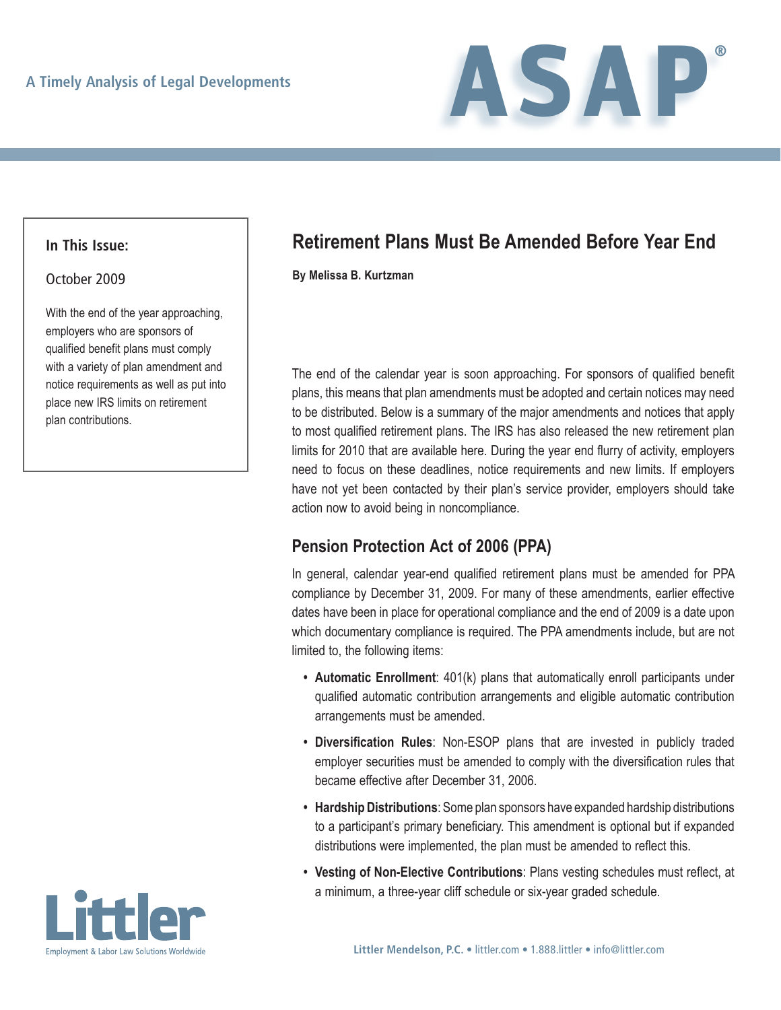

#### **In This Issue:**

#### October 2009

With the end of the year approaching, employers who are sponsors of qualified benefit plans must comply with a variety of plan amendment and notice requirements as well as put into place new IRS limits on retirement plan contributions.

# **Retirement Plans Must Be Amended Before Year End**

**By Melissa B. Kurtzman**

The end of the calendar year is soon approaching. For sponsors of qualified benefit plans, this means that plan amendments must be adopted and certain notices may need to be distributed. Below is a summary of the major amendments and notices that apply to most qualified retirement plans. The IRS has also released the new retirement plan limits for 2010 that are available here. During the year end flurry of activity, employers need to focus on these deadlines, notice requirements and new limits. If employers have not yet been contacted by their plan's service provider, employers should take action now to avoid being in noncompliance.

### **Pension Protection Act of 2006 (PPA)**

In general, calendar year-end qualified retirement plans must be amended for PPA compliance by December 31, 2009. For many of these amendments, earlier effective dates have been in place for operational compliance and the end of 2009 is a date upon which documentary compliance is required. The PPA amendments include, but are not limited to, the following items:

- **Automatic Enrollment**: 401(k) plans that automatically enroll participants under qualified automatic contribution arrangements and eligible automatic contribution arrangements must be amended.
- Diversification Rules: Non-ESOP plans that are invested in publicly traded employer securities must be amended to comply with the diversification rules that became effective after December 31, 2006.
- **Hardship Distributions**: Some plan sponsors have expanded hardship distributions to a participant's primary beneficiary. This amendment is optional but if expanded distributions were implemented, the plan must be amended to reflect this.
- Vesting of Non-Elective Contributions: Plans vesting schedules must reflect, at a minimum, a three-year cliff schedule or six-year graded schedule.

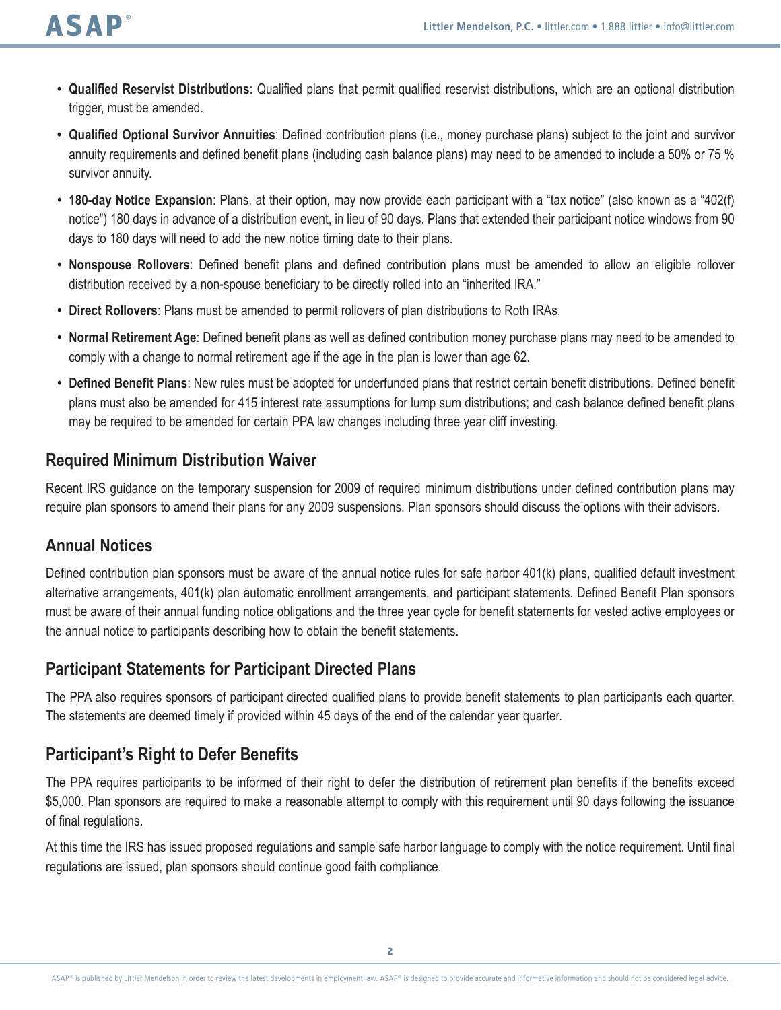- **• Qualified Reservist Distributions**: Qualified plans that permit qualified reservist distributions, which are an optional distribution trigger, must be amended.
- **• Qualified Optional Survivor Annuities**: Defined contribution plans (i.e., money purchase plans) subject to the joint and survivor annuity requirements and defined benefit plans (including cash balance plans) may need to be amended to include a 50% or 75 % survivor annuity.
- **• 180-day Notice Expansion**: Plans, at their option, may now provide each participant with a "tax notice" (also known as a "402(f) notice") 180 days in advance of a distribution event, in lieu of 90 days. Plans that extended their participant notice windows from 90 days to 180 days will need to add the new notice timing date to their plans.
- **• Nonspouse Rollovers**: Defined benefit plans and defined contribution plans must be amended to allow an eligible rollover distribution received by a non-spouse beneficiary to be directly rolled into an "inherited IRA."
- **• Direct Rollovers**: Plans must be amended to permit rollovers of plan distributions to Roth IRAs.
- **• Normal Retirement Age**: Defined benefit plans as well as defined contribution money purchase plans may need to be amended to comply with a change to normal retirement age if the age in the plan is lower than age 62.
- **• Defined Benefit Plans**: New rules must be adopted for underfunded plans that restrict certain benefit distributions. Defined benefit plans must also be amended for 415 interest rate assumptions for lump sum distributions; and cash balance defined benefit plans may be required to be amended for certain PPA law changes including three year cliff investing.

#### **Required Minimum Distribution Waiver**

Recent IRS guidance on the temporary suspension for 2009 of required minimum distributions under defined contribution plans may require plan sponsors to amend their plans for any 2009 suspensions. Plan sponsors should discuss the options with their advisors.

### **Annual Notices**

Defined contribution plan sponsors must be aware of the annual notice rules for safe harbor 401(k) plans, qualified default investment alternative arrangements, 401(k) plan automatic enrollment arrangements, and participant statements. Defined Benefit Plan sponsors must be aware of their annual funding notice obligations and the three year cycle for benefit statements for vested active employees or the annual notice to participants describing how to obtain the benefit statements.

### **Participant Statements for Participant Directed Plans**

The PPA also requires sponsors of participant directed qualified plans to provide benefit statements to plan participants each quarter. The statements are deemed timely if provided within 45 days of the end of the calendar year quarter.

### **Participant's Right to Defer Benefits**

The PPA requires participants to be informed of their right to defer the distribution of retirement plan benefits if the benefits exceed \$5,000. Plan sponsors are required to make a reasonable attempt to comply with this requirement until 90 days following the issuance of final regulations.

At this time the IRS has issued proposed regulations and sample safe harbor language to comply with the notice requirement. Until final regulations are issued, plan sponsors should continue good faith compliance.